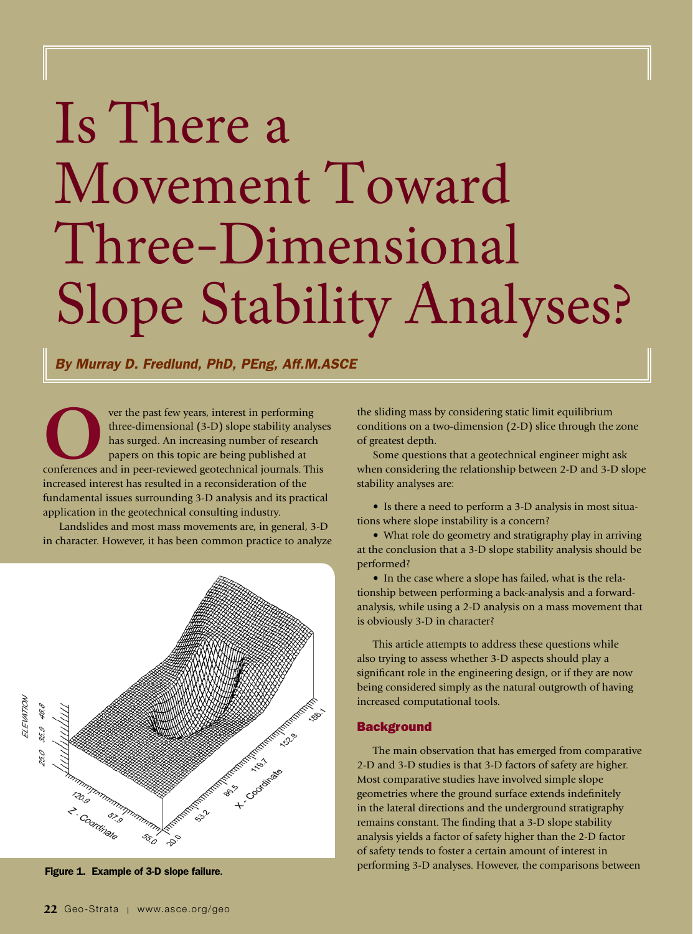# Is There a Movement Toward Three-Dimensional Slope Stability Analyses?

*By Murray D. Fredlund, PhD, PEng, Aff.M.ASCE*

**OCCERCITE CONFIDENTIFY SERVICES AND THE EXECUTE CONFIDENT SURFERENCE CONFIDENT SURFERENCE PAPERS ON THE SURFERENCE CONFIDENCE CONFIDENT SURFERENCE CONFIDENCE CONFIDENCE CONFIDENCE CONFIDENCE CONFIDENT SURFERENCE CONFIDENT** three-dimensional (3-D) slope stability analyses has surged. An increasing number of research papers on this topic are being published at increased interest has resulted in a reconsideration of the fundamental issues surrounding 3-D analysis and its practical application in the geotechnical consulting industry.

Landslides and most mass movements are, in general, 3-D in character. However, it has been common practice to analyze



the sliding mass by considering static limit equilibrium conditions on a two-dimension (2-D) slice through the zone of greatest depth.

Some questions that a geotechnical engineer might ask when considering the relationship between 2-D and 3-D slope stability analyses are:

• Is there a need to perform a 3-D analysis in most situations where slope instability is a concern?

• What role do geometry and stratigraphy play in arriving at the conclusion that a 3-D slope stability analysis should be performed?

• In the case where a slope has failed, what is the relationship between performing a back-analysis and a forwardanalysis, while using a 2-D analysis on a mass movement that is obviously 3-D in character?

This article attempts to address these questions while also trying to assess whether 3-D aspects should play a significant role in the engineering design, or if they are now being considered simply as the natural outgrowth of having increased computational tools.

#### **Background**

The main observation that has emerged from comparative 2-D and 3-D studies is that 3-D factors of safety are higher. Most comparative studies have involved simple slope geometries where the ground surface extends indefinitely in the lateral directions and the underground stratigraphy remains constant. The finding that a 3-D slope stability analysis yields a factor of safety higher than the 2-D factor of safety tends to foster a certain amount of interest in performing 3-D analyses. However, the comparisons between Figure 1. Example of 3-D slope failure**.**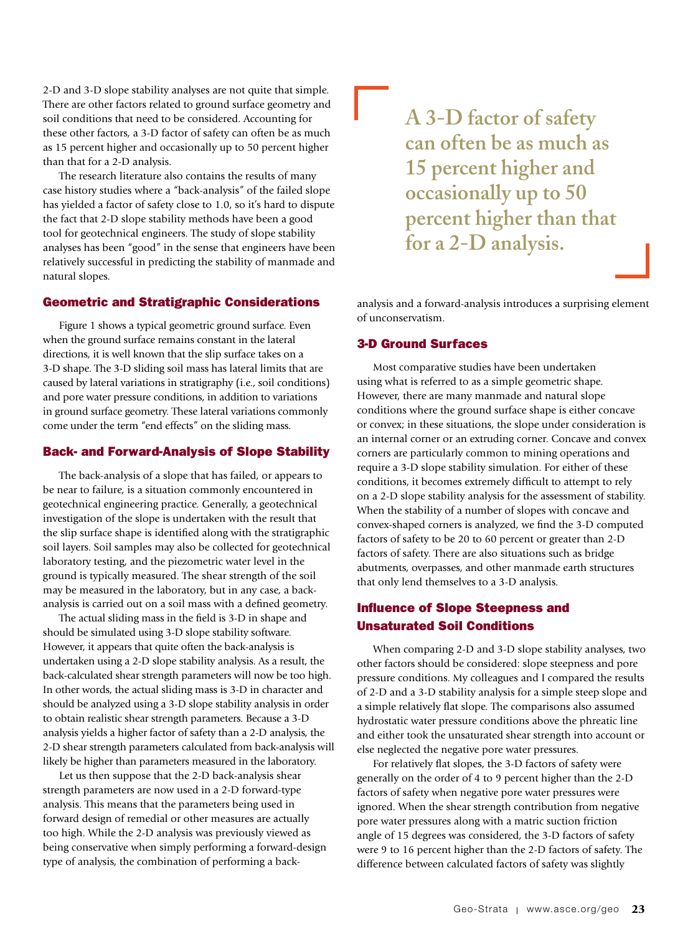2-D and 3-D slope stability analyses are not quite that simple. There are other factors related to ground surface geometry and soil conditions that need to be considered. Accounting for these other factors, a 3-D factor of safety can often be as much as 15 percent higher and occasionally up to 50 percent higher than that for a 2-D analysis.

The research literature also contains the results of many case history studies where a "back-analysis" of the failed slope has yielded a factor of safety close to 1.0, so it's hard to dispute the fact that 2-D slope stability methods have been a good tool for geotechnical engineers. The study of slope stability analyses has been "good" in the sense that engineers have been relatively successful in predicting the stability of manmade and natural slopes.

# Geometric and Stratigraphic Considerations

Figure 1 shows a typical geometric ground surface. Even when the ground surface remains constant in the lateral directions, it is well known that the slip surface takes on a 3-D shape. The 3-D sliding soil mass has lateral limits that are caused by lateral variations in stratigraphy (i.e., soil conditions) and pore water pressure conditions, in addition to variations in ground surface geometry. These lateral variations commonly come under the term "end effects" on the sliding mass.

# Back- and Forward-Analysis of Slope Stability

The back-analysis of a slope that has failed, or appears to be near to failure, is a situation commonly encountered in geotechnical engineering practice. Generally, a geotechnical investigation of the slope is undertaken with the result that the slip surface shape is identified along with the stratigraphic soil layers. Soil samples may also be collected for geotechnical laboratory testing, and the piezometric water level in the ground is typically measured. The shear strength of the soil may be measured in the laboratory, but in any case, a backanalysis is carried out on a soil mass with a defined geometry.

The actual sliding mass in the field is 3-D in shape and should be simulated using 3-D slope stability software. However, it appears that quite often the back-analysis is undertaken using a 2-D slope stability analysis. As a result, the back-calculated shear strength parameters will now be too high. In other words, the actual sliding mass is 3-D in character and should be analyzed using a 3-D slope stability analysis in order to obtain realistic shear strength parameters. Because a 3-D analysis yields a higher factor of safety than a 2-D analysis, the 2-D shear strength parameters calculated from back-analysis will likely be higher than parameters measured in the laboratory.

Let us then suppose that the 2-D back-analysis shear strength parameters are now used in a 2-D forward-type analysis. This means that the parameters being used in forward design of remedial or other measures are actually too high. While the 2-D analysis was previously viewed as being conservative when simply performing a forward-design type of analysis, the combination of performing a back**A 3-D factor of safety can often be as much as 15 percent higher and occasionally up to 50 percent higher than that for a 2-D analysis.**

analysis and a forward-analysis introduces a surprising element of unconservatism.

#### 3-D Ground Surfaces

Most comparative studies have been undertaken using what is referred to as a simple geometric shape. However, there are many manmade and natural slope conditions where the ground surface shape is either concave or convex; in these situations, the slope under consideration is an internal corner or an extruding corner. Concave and convex corners are particularly common to mining operations and require a 3-D slope stability simulation. For either of these conditions, it becomes extremely difficult to attempt to rely on a 2-D slope stability analysis for the assessment of stability. When the stability of a number of slopes with concave and convex-shaped corners is analyzed, we find the 3-D computed factors of safety to be 20 to 60 percent or greater than 2-D factors of safety. There are also situations such as bridge abutments, overpasses, and other manmade earth structures that only lend themselves to a 3-D analysis.

# Influence of Slope Steepness and Unsaturated Soil Conditions

When comparing 2-D and 3-D slope stability analyses, two other factors should be considered: slope steepness and pore pressure conditions. My colleagues and I compared the results of 2-D and a 3-D stability analysis for a simple steep slope and a simple relatively flat slope. The comparisons also assumed hydrostatic water pressure conditions above the phreatic line and either took the unsaturated shear strength into account or else neglected the negative pore water pressures.

For relatively flat slopes, the 3-D factors of safety were generally on the order of 4 to 9 percent higher than the 2-D factors of safety when negative pore water pressures were ignored. When the shear strength contribution from negative pore water pressures along with a matric suction friction angle of 15 degrees was considered, the 3-D factors of safety were 9 to 16 percent higher than the 2-D factors of safety. The difference between calculated factors of safety was slightly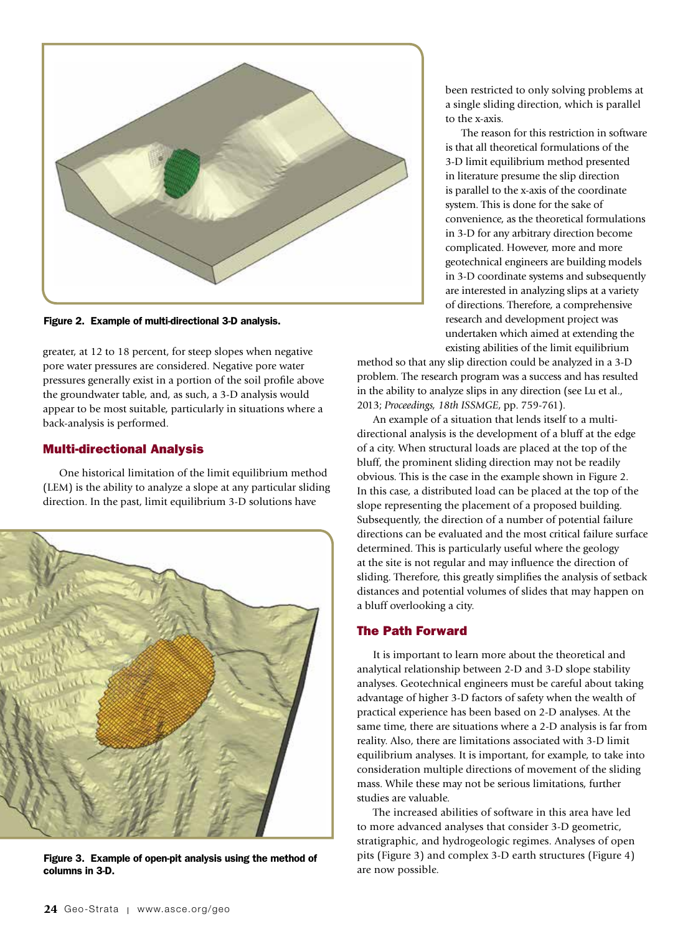

Figure 2. Example of multi-directional 3-D analysis.

greater, at 12 to 18 percent, for steep slopes when negative pore water pressures are considered. Negative pore water pressures generally exist in a portion of the soil profile above the groundwater table, and, as such, a 3-D analysis would appear to be most suitable, particularly in situations where a back-analysis is performed.

### Multi-directional Analysis

One historical limitation of the limit equilibrium method (LEM) is the ability to analyze a slope at any particular sliding direction. In the past, limit equilibrium 3-D solutions have



Figure 3. Example of open-pit analysis using the method of columns in 3-D.

been restricted to only solving problems at a single sliding direction, which is parallel to the x-axis.

The reason for this restriction in software is that all theoretical formulations of the 3-D limit equilibrium method presented in literature presume the slip direction is parallel to the x-axis of the coordinate system. This is done for the sake of convenience, as the theoretical formulations in 3-D for any arbitrary direction become complicated. However, more and more geotechnical engineers are building models in 3-D coordinate systems and subsequently are interested in analyzing slips at a variety of directions. Therefore, a comprehensive research and development project was undertaken which aimed at extending the existing abilities of the limit equilibrium

method so that any slip direction could be analyzed in a 3-D problem. The research program was a success and has resulted in the ability to analyze slips in any direction (see Lu et al., 2013; *Proceedings, 18th ISSMGE*, pp. 759-761).

An example of a situation that lends itself to a multidirectional analysis is the development of a bluff at the edge of a city. When structural loads are placed at the top of the bluff, the prominent sliding direction may not be readily obvious. This is the case in the example shown in Figure 2. In this case, a distributed load can be placed at the top of the slope representing the placement of a proposed building. Subsequently, the direction of a number of potential failure directions can be evaluated and the most critical failure surface determined. This is particularly useful where the geology at the site is not regular and may influence the direction of sliding. Therefore, this greatly simplifies the analysis of setback distances and potential volumes of slides that may happen on a bluff overlooking a city.

#### The Path Forward

It is important to learn more about the theoretical and analytical relationship between 2-D and 3-D slope stability analyses. Geotechnical engineers must be careful about taking advantage of higher 3-D factors of safety when the wealth of practical experience has been based on 2-D analyses. At the same time, there are situations where a 2-D analysis is far from reality. Also, there are limitations associated with 3-D limit equilibrium analyses. It is important, for example, to take into consideration multiple directions of movement of the sliding mass. While these may not be serious limitations, further studies are valuable.

The increased abilities of software in this area have led to more advanced analyses that consider 3-D geometric, stratigraphic, and hydrogeologic regimes. Analyses of open pits (Figure 3) and complex 3-D earth structures (Figure 4) are now possible.